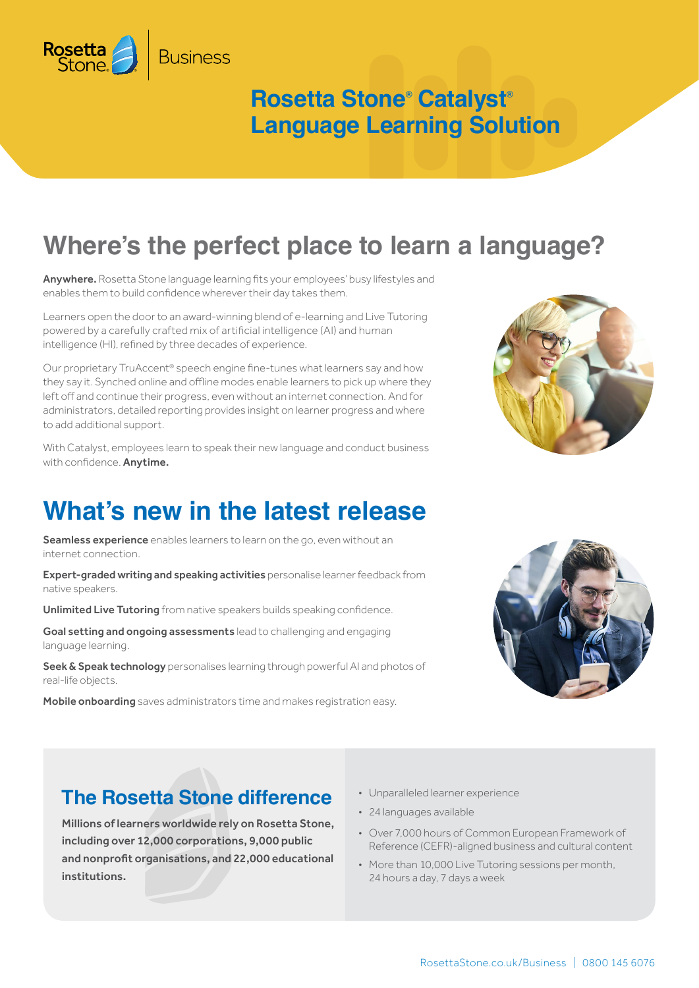### **Rosetta Stone® Catalyst® Language Learning Solution**

# **Where's the perfect place to learn a language?**

Anywhere. Rosetta Stone language learning fits your employees' busy lifestyles and enables them to build confidence wherever their day takes them.

**Business** 

Rosetta

Learners open the door to an award-winning blend of e-learning and Live Tutoring powered by a carefully crafted mix of artificial intelligence (AI) and human intelligence (HI), refined by three decades of experience.

Our proprietary TruAccent® speech engine fine-tunes what learners say and how they say it. Synched online and offline modes enable learners to pick up where they left off and continue their progress, even without an internet connection. And for administrators, detailed reporting provides insight on learner progress and where to add additional support.

With Catalyst, employees learn to speak their new language and conduct business with confidence. **Anytime.** 

### **What's new in the latest release**

Seamless experience enables learners to learn on the go, even without an internet connection.

Expert-graded writing and speaking activities personalise learner feedback from native speakers.

Unlimited Live Tutoring from native speakers builds speaking confidence.

Goal setting and ongoing assessments lead to challenging and engaging language learning.

Seek & Speak technology personalises learning through powerful AI and photos of real-life objects.

Mobile onboarding saves administrators time and makes registration easy.





### **The Rosetta Stone difference**

Millions of learners worldwide rely on Rosetta Stone, including over 12,000 corporations, 9,000 public and nonprofit organisations, and 22,000 educational institutions.

- Unparalleled learner experience
- 24 languages available
- Over 7,000 hours of Common European Framework of Reference (CEFR)-aligned business and cultural content
- More than 10,000 Live Tutoring sessions per month, 24 hours a day, 7 days a week